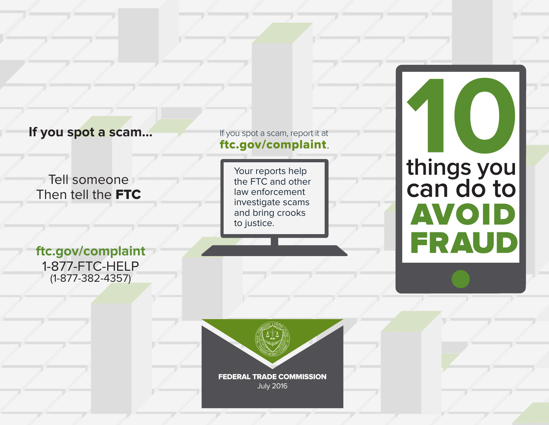